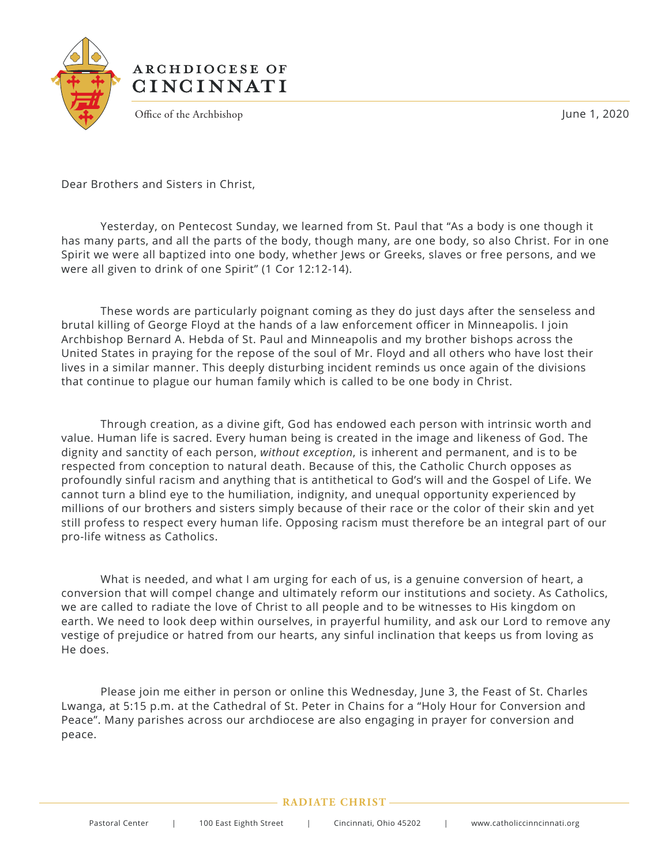

## ARCHDIOCESE OF **CINCINNATI**

Office of the Archbishop **June 1, 2020** 

Dear Brothers and Sisters in Christ,

 Yesterday, on Pentecost Sunday, we learned from St. Paul that "As a body is one though it has many parts, and all the parts of the body, though many, are one body, so also Christ. For in one Spirit we were all baptized into one body, whether Jews or Greeks, slaves or free persons, and we were all given to drink of one Spirit" (1 Cor 12:12-14).

 These words are particularly poignant coming as they do just days after the senseless and brutal killing of George Floyd at the hands of a law enforcement officer in Minneapolis. I join Archbishop Bernard A. Hebda of St. Paul and Minneapolis and my brother bishops across the United States in praying for the repose of the soul of Mr. Floyd and all others who have lost their lives in a similar manner. This deeply disturbing incident reminds us once again of the divisions that continue to plague our human family which is called to be one body in Christ.

 Through creation, as a divine gift, God has endowed each person with intrinsic worth and value. Human life is sacred. Every human being is created in the image and likeness of God. The dignity and sanctity of each person, *without exception*, is inherent and permanent, and is to be respected from conception to natural death. Because of this, the Catholic Church opposes as profoundly sinful racism and anything that is antithetical to God's will and the Gospel of Life. We cannot turn a blind eye to the humiliation, indignity, and unequal opportunity experienced by millions of our brothers and sisters simply because of their race or the color of their skin and yet still profess to respect every human life. Opposing racism must therefore be an integral part of our pro-life witness as Catholics.

 What is needed, and what I am urging for each of us, is a genuine conversion of heart, a conversion that will compel change and ultimately reform our institutions and society. As Catholics, we are called to radiate the love of Christ to all people and to be witnesses to His kingdom on earth. We need to look deep within ourselves, in prayerful humility, and ask our Lord to remove any vestige of prejudice or hatred from our hearts, any sinful inclination that keeps us from loving as He does.

 Please join me either in person or online this Wednesday, June 3, the Feast of St. Charles Lwanga, at 5:15 p.m. at the Cathedral of St. Peter in Chains for a "Holy Hour for Conversion and Peace". Many parishes across our archdiocese are also engaging in prayer for conversion and peace.

## **RADIATE CHRIST**